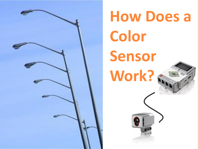

# **How Does a Color Sensor Work?**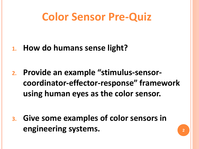### **Color Sensor Pre-Quiz**

**1. How do humans sense light?** 

**2. Provide an example "stimulus-sensorcoordinator-effector-response" framework using human eyes as the color sensor.**

**3. Give some examples of color sensors in engineering systems.**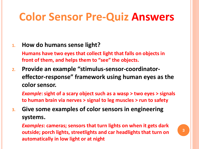# **Color Sensor Pre-Quiz Answers**

#### **1. How do humans sense light?**

**Humans have two eyes that collect light that falls on objects in front of them, and helps them to "see" the objects.**

**2. Provide an example "stimulus-sensor-coordinatoreffector-response" framework using human eyes as the color sensor.**

*Example***: sight of a scary object such as a wasp > two eyes > signals to human brain via nerves > signal to leg muscles > run to safety**

**3. Give some examples of color sensors in engineering systems.**

*Examples***: cameras; sensors that turn lights on when it gets dark outside; porch lights, streetlights and car headlights that turn on automatically in low light or at night**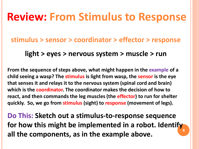#### **Review: From Stimulus to Response**

#### **stimulus > sensor > coordinator > effector > response**

#### **light > eyes > nervous system > muscle > run**

**From the sequence of steps above, what might happen in the example of a child seeing a wasp? The stimulus is light from wasp, the sensor is the eye that senses it and relays it to the nervous system (spinal cord and brain) which is the coordinator. The coordinator makes the decision of how to react, and then commands the leg muscles (the effector) to run for shelter quickly. So, we go from stimulus (sight) to response (movement of legs).**

**4 Do This: Sketch out a stimulus-to-response sequence for how this might be implemented in a robot. Identify all the components, as in the example above.**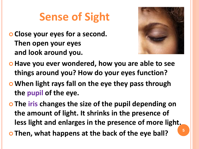# **Sense of Sight**

 **Close your eyes for a second. Then open your eyes and look around you.** 



- **Have you ever wondered, how you are able to see things around you? How do your eyes function?**
- **When light rays fall on the eye they pass through the pupil of the eye.**
- **The iris changes the size of the pupil depending on the amount of light. It shrinks in the presence of less light and enlarges in the presence of more light.**

**Then, what happens at the back of the eye ball?**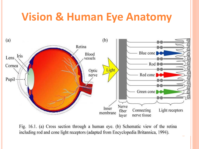#### **Vision & Human Eye Anatomy**



Fig. 16.1. (a) Cross section through a human eye. (b) Schematic view of the retina including rod and cone light receptors (adapted from Encyclopedia Britannica, 1994).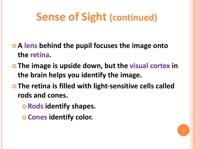# **Sense of Sight (continued)**

- **A lens behind the pupil focuses the image onto the retina.**
- **The image is upside down, but the visual cortex in the brain helps you identify the image.**
- **The retina is filled with light-sensitive cells called rods and cones.**
	- **Rods identify shapes.**
	- **Cones identify color.**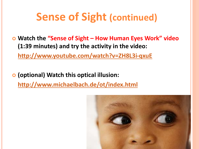## **Sense of Sight (continued)**

 **Watch the "Sense of Sight – How Human Eyes Work" video (1:39 minutes) and try the activity in the video:**

**<http://www.youtube.com/watch?v=ZH8L3i-qxuE>**

 **(optional) Watch this optical illusion: <http://www.michaelbach.de/ot/index.html>**

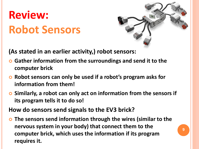# **Review: Robot Sensors**



**9**

**(As stated in an earlier activity,) robot sensors:**

- **Gather information from the surroundings and send it to the computer brick**
- **Robot sensors can only be used if a robot's program asks for information from them!**
- **Similarly, a robot can only act on information from the sensors if its program tells it to do so!**

**How do sensors send signals to the EV3 brick?**

 **The sensors send information through the wires (similar to the nervous system in your body) that connect them to the computer brick, which uses the information if its program requires it.**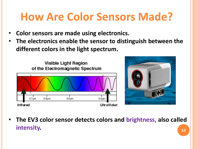# **How Are Color Sensors Made?**

- **Color sensors are made using electronics.**
- **The electronics enable the sensor to distinguish between the different colors in the light spectrum.**





**10** • **The EV3 color sensor detects colors and brightness, also called intensity.**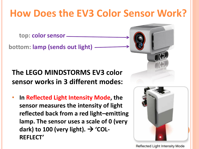#### **How Does the EV3 Color Sensor Work?**

**top: color sensor**

**bottom: lamp (sends out light)**

**The LEGO MINDSTORMS EV3 color sensor works in 3 different modes:**

• **In Reflected Light Intensity Mode, the sensor measures the intensity of light reflected back from a red light–emitting lamp. The sensor uses a scale of 0 (very**  dark) to 100 (very light).  $\rightarrow$  'COL-**REFLECT'**



**Reflected Light Intensity Mode**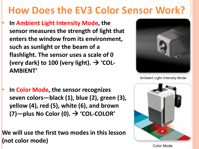#### **How Does the EV3 Color Sensor Work?**

• **In Ambient Light Intensity Mode, the sensor measures the strength of light that enters the window from its environment, such as sunlight or the beam of a flashlight. The sensor uses a scale of 0**  (very dark) to 100 (very light).  $\rightarrow$  'COL-**AMBIENT'**



Ambient Light Intensity Mode

• **In Color Mode, the sensor recognizes seven colors—black (1), blue (2), green (3), yellow (4), red (5), white (6), and brown (7)—plus No Color (0). 'COL-COLOR'**

**We will use the first two modes in this lesson (not color mode)**



**Color Mode**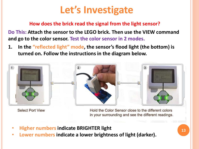#### **Let's Investigate**

#### **How does the brick read the signal from the light sensor?**

**Do This: Attach the sensor to the LEGO brick. Then use the VIEW command and go to the color sensor. Test the color sensor in 2 modes.** 

**1. In the "reflected light" mode, the sensor's flood light (the bottom) is turned on. Follow the instructions in the diagram below.** 



**Select Port View** 

Hold the Color Sensor close to the different colors in your surrounding and see the different readings.

- **Higher numbers indicate BRIGHTER light**
- **Lower numbers indicate a lower brightness of light (darker).**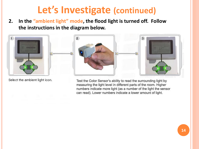#### **Let's Investigate (continued)**

**2. In the "ambient light" mode, the flood light is turned off. Follow the instructions in the diagram below.** 



Select the ambient light icon.

Test the Color Sensor's ability to read the surrounding light by measuring the light level in different parts of the room. Higher numbers indicate more light (as a number of the light the sensor can read). Lower numbers indicate a lower amount of light.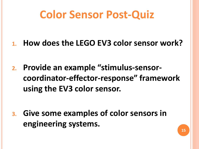## **Color Sensor Post-Quiz**

- **1. How does the LEGO EV3 color sensor work?**
- **2. Provide an example "stimulus-sensorcoordinator-effector-response" framework using the EV3 color sensor.**

**3. Give some examples of color sensors in engineering systems.**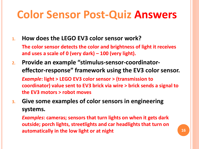# **Color Sensor Post-Quiz Answers**

**1. How does the LEGO EV3 color sensor work?** 

**The color sensor detects the color and brightness of light it receives and uses a scale of 0 (very dark) – 100 (very light).**

- **2. Provide an example "stimulus-sensor-coordinatoreffector-response" framework using the EV3 color sensor.** *Example***: light > LEGO EV3 color sensor > (transmission to coordinator) value sent to EV3 brick via wire > brick sends a signal to the EV3 motors > robot moves**
- **3. Give some examples of color sensors in engineering systems.**

*Examples***: cameras; sensors that turn lights on when it gets dark outside; porch lights, streetlights and car headlights that turn on automatically in the low light or at night 16 16 16**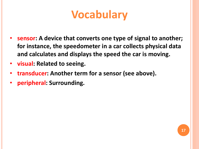# **Vocabulary**

- **sensor: A device that converts one type of signal to another; for instance, the speedometer in a car collects physical data and calculates and displays the speed the car is moving.**
- **visual: Related to seeing.**
- **transducer: Another term for a sensor (see above).**
- **peripheral: Surrounding.**